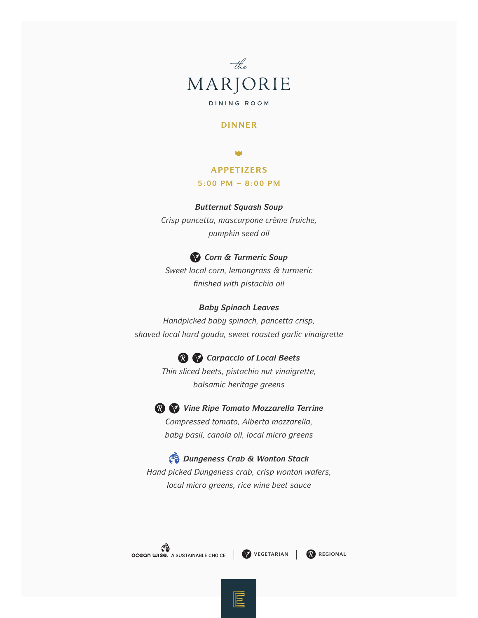

## **DINNER**

## **APPETIZERS**

#### **5:00 PM – 8:00 PM**

#### *Butternut Squash Soup*

*Crisp pancetta, mascarpone crème fraiche, pumpkin seed oil*

## *Corn & Turmeric Soup*

*Sweet local corn, lemongrass & turmeric finished with pistachio oil*

#### *Baby Spinach Leaves*

*Handpicked baby spinach, pancetta crisp, shaved local hard gouda, sweet roasted garlic vinaigrette* 

*Carpaccio of Local Beets*

*Thin sliced beets, pistachio nut vinaigrette, balsamic heritage greens* 

*Vine Ripe Tomato Mozzarella Terrine Compressed tomato, Alberta mozzarella, baby basil, canola oil, local micro greens*

*Dungeness Crab & Wonton Stack Hand picked Dungeness crab, crisp wonton wafers, local micro greens, rice wine beet sauce* 



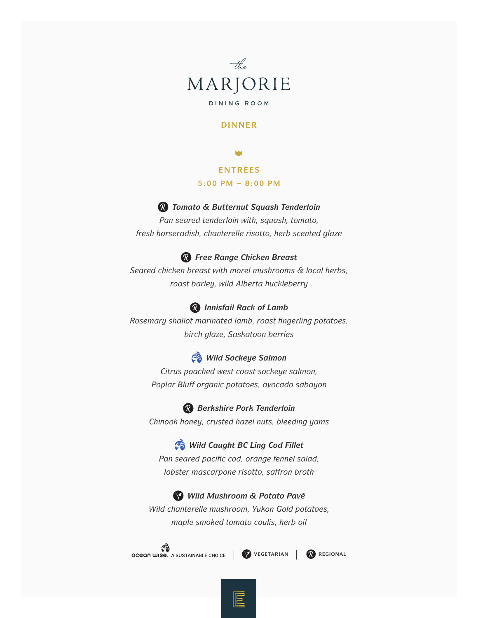

#### **DINNER**

**ENTRÉES 5:00 PM – 8:00 PM** 

## *Tomato & Butternut Squash Tenderloin*

*Pan seared tenderloin with, squash, tomato, fresh horseradish, chanterelle risotto, herb scented glaze*

## *Free Range Chicken Breast*

*Seared chicken breast with morel mushrooms & local herbs, roast barley, wild Alberta huckleberry* 

#### *Innisfail Rack of Lamb*

*Rosemary shallot marinated lamb, roast fingerling potatoes, birch glaze, Saskatoon berries* 

# *Wild Sockeye Salmon*

*Citrus poached west coast sockeye salmon, Poplar Bluff organic potatoes, avocado sabayon*

*Berkshire Pork Tenderloin Chinook honey, crusted hazel nuts, bleeding yams*

# *Wild Caught BC Ling Cod Fillet*

*Pan seared pacific cod, orange fennel salad, lobster mascarpone risotto, saffron broth*

*Wild Mushroom & Potato Pavé Wild chanterelle mushroom, Yukon Gold potatoes, maple smoked tomato coulis, herb oil* 



巨